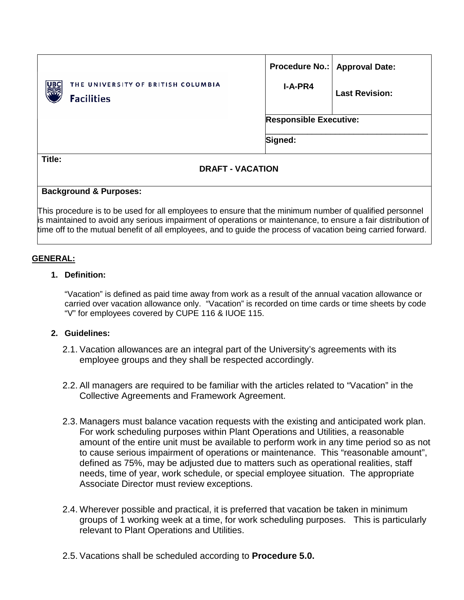| THE UNIVERSITY OF BRITISH COLUMBIA<br>्राण<br>राज<br><b>Facilities</b> | I-A-PR4                       | Procedure No.:   Approval Date:<br><b>Last Revision:</b> |  |  |
|------------------------------------------------------------------------|-------------------------------|----------------------------------------------------------|--|--|
|                                                                        | <b>Responsible Executive:</b> |                                                          |  |  |
|                                                                        | Signed:                       |                                                          |  |  |
| Title:<br><b>DRAFT - VACATION</b>                                      |                               |                                                          |  |  |

#### **Background & Purposes:**

This procedure is to be used for all employees to ensure that the minimum number of qualified personnel is maintained to avoid any serious impairment of operations or maintenance, to ensure a fair distribution of time off to the mutual benefit of all employees, and to guide the process of vacation being carried forward.

### **GENERAL:**

### **1. Definition:**

"Vacation" is defined as paid time away from work as a result of the annual vacation allowance or carried over vacation allowance only. "Vacation" is recorded on time cards or time sheets by code "V" for employees covered by CUPE 116 & IUOE 115.

### **2. Guidelines:**

- 2.1. Vacation allowances are an integral part of the University's agreements with its employee groups and they shall be respected accordingly.
- 2.2. All managers are required to be familiar with the articles related to "Vacation" in the Collective Agreements and Framework Agreement.
- 2.3. Managers must balance vacation requests with the existing and anticipated work plan. For work scheduling purposes within Plant Operations and Utilities, a reasonable amount of the entire unit must be available to perform work in any time period so as not to cause serious impairment of operations or maintenance. This "reasonable amount", defined as 75%, may be adjusted due to matters such as operational realities, staff needs, time of year, work schedule, or special employee situation. The appropriate Associate Director must review exceptions.
- 2.4. Wherever possible and practical, it is preferred that vacation be taken in minimum groups of 1 working week at a time, for work scheduling purposes. This is particularly relevant to Plant Operations and Utilities.
- 2.5. Vacations shall be scheduled according to **Procedure 5.0.**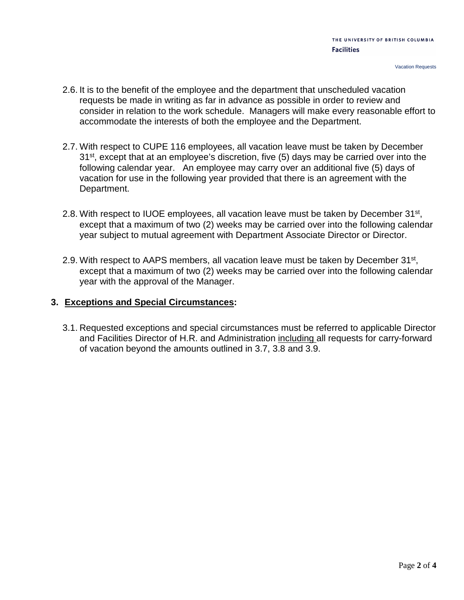- 2.6. It is to the benefit of the employee and the department that unscheduled vacation requests be made in writing as far in advance as possible in order to review and consider in relation to the work schedule. Managers will make every reasonable effort to accommodate the interests of both the employee and the Department.
- 2.7. With respect to CUPE 116 employees, all vacation leave must be taken by December 31<sup>st</sup>, except that at an employee's discretion, five (5) days may be carried over into the following calendar year. An employee may carry over an additional five (5) days of vacation for use in the following year provided that there is an agreement with the Department.
- 2.8. With respect to IUOE employees, all vacation leave must be taken by December 31<sup>st</sup>, except that a maximum of two (2) weeks may be carried over into the following calendar year subject to mutual agreement with Department Associate Director or Director.
- 2.9. With respect to AAPS members, all vacation leave must be taken by December 31<sup>st</sup>, except that a maximum of two (2) weeks may be carried over into the following calendar year with the approval of the Manager.

### **3. Exceptions and Special Circumstances:**

3.1. Requested exceptions and special circumstances must be referred to applicable Director and Facilities Director of H.R. and Administration including all requests for carry-forward of vacation beyond the amounts outlined in 3.7, 3.8 and 3.9.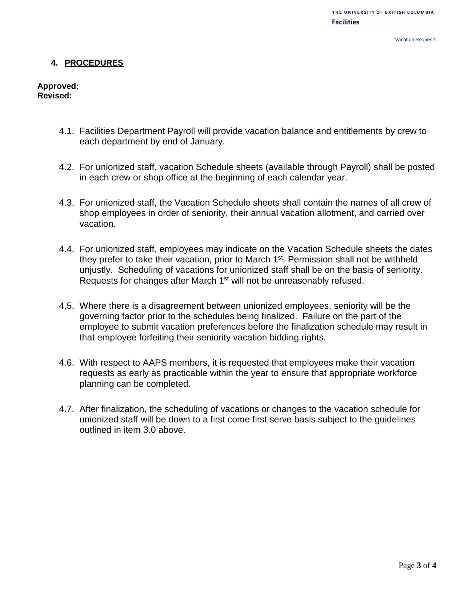#### **4. PROCEDURES**

**Approved: Revised:** 

- 4.1. Facilities Department Payroll will provide vacation balance and entitlements by crew to each department by end of January.
- 4.2. For unionized staff, vacation Schedule sheets (available through Payroll) shall be posted in each crew or shop office at the beginning of each calendar year.
- 4.3. For unionized staff, the Vacation Schedule sheets shall contain the names of all crew of shop employees in order of seniority, their annual vacation allotment, and carried over vacation.
- 4.4. For unionized staff, employees may indicate on the Vacation Schedule sheets the dates they prefer to take their vacation, prior to March 1<sup>st</sup>. Permission shall not be withheld unjustly. Scheduling of vacations for unionized staff shall be on the basis of seniority. Requests for changes after March 1<sup>st</sup> will not be unreasonably refused.
- 4.5. Where there is a disagreement between unionized employees, seniority will be the governing factor prior to the schedules being finalized. Failure on the part of the employee to submit vacation preferences before the finalization schedule may result in that employee forfeiting their seniority vacation bidding rights.
- 4.6. With respect to AAPS members, it is requested that employees make their vacation requests as early as practicable within the year to ensure that appropriate workforce planning can be completed.
- 4.7. After finalization, the scheduling of vacations or changes to the vacation schedule for unionized staff will be down to a first come first serve basis subject to the guidelines outlined in item 3.0 above.